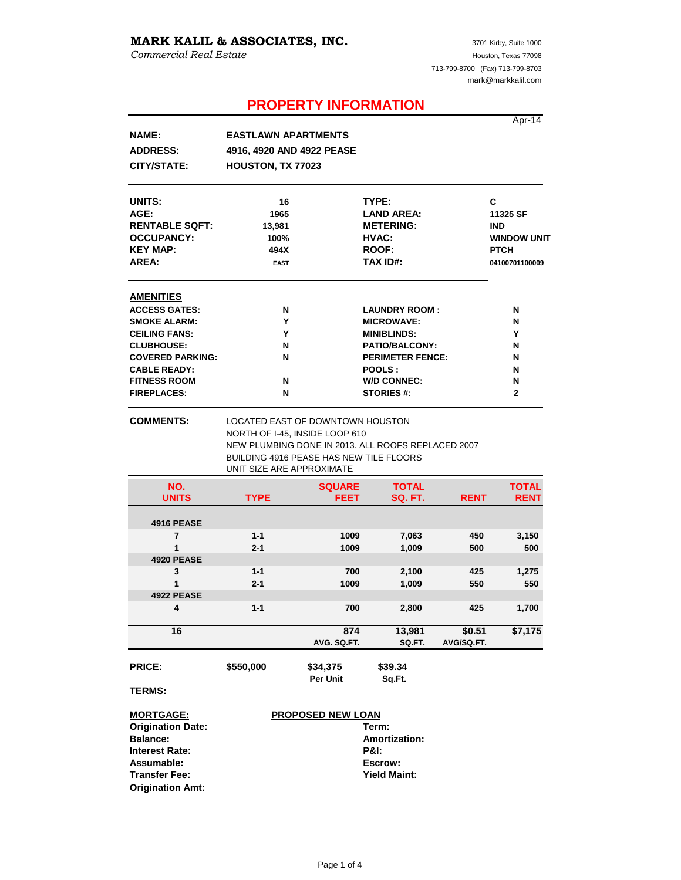# **MARK KALIL & ASSOCIATES, INC.**

*Commercial Real Estate*

**Origination Amt:**

# **PROPERTY INFORMATION**

|                          |                                                                                                               |                          |                                                    |             | Apr-14             |
|--------------------------|---------------------------------------------------------------------------------------------------------------|--------------------------|----------------------------------------------------|-------------|--------------------|
| <b>NAME:</b>             | <b>EASTLAWN APARTMENTS</b>                                                                                    |                          |                                                    |             |                    |
| <b>ADDRESS:</b>          |                                                                                                               |                          |                                                    |             |                    |
|                          | 4916, 4920 AND 4922 PEASE                                                                                     |                          |                                                    |             |                    |
| <b>CITY/STATE:</b>       | HOUSTON, TX 77023                                                                                             |                          |                                                    |             |                    |
| UNITS:                   | 16                                                                                                            |                          | TYPE:                                              |             | С                  |
| AGE:                     | 1965                                                                                                          |                          | <b>LAND AREA:</b>                                  |             | 11325 SF           |
| <b>RENTABLE SQFT:</b>    | 13,981                                                                                                        |                          | <b>METERING:</b>                                   |             | <b>IND</b>         |
| <b>OCCUPANCY:</b>        | 100%                                                                                                          |                          | HVAC:                                              |             | <b>WINDOW UNIT</b> |
| <b>KEY MAP:</b>          | 494X                                                                                                          |                          | <b>ROOF:</b>                                       |             | <b>PTCH</b>        |
| AREA:                    | <b>EAST</b>                                                                                                   |                          | <b>TAX ID#:</b>                                    |             | 04100701100009     |
| <b>AMENITIES</b>         |                                                                                                               |                          |                                                    |             |                    |
| <b>ACCESS GATES:</b>     | N                                                                                                             |                          | <b>LAUNDRY ROOM:</b>                               |             | N                  |
|                          | Y                                                                                                             |                          |                                                    |             |                    |
| <b>SMOKE ALARM:</b>      |                                                                                                               |                          | <b>MICROWAVE:</b>                                  |             | N                  |
| <b>CEILING FANS:</b>     | Y                                                                                                             |                          | <b>MINIBLINDS:</b>                                 |             | Υ                  |
| <b>CLUBHOUSE:</b>        | N                                                                                                             |                          | <b>PATIO/BALCONY:</b>                              |             | N                  |
| <b>COVERED PARKING:</b>  | N                                                                                                             |                          | <b>PERIMETER FENCE:</b>                            |             | N                  |
| <b>CABLE READY:</b>      |                                                                                                               |                          | POOLS:                                             |             | N                  |
| <b>FITNESS ROOM</b>      | N                                                                                                             | <b>W/D CONNEC:</b>       |                                                    | N           |                    |
| <b>FIREPLACES:</b>       | N                                                                                                             |                          | <b>STORIES #:</b>                                  |             | $\mathbf{2}$       |
|                          | NORTH OF I-45, INSIDE LOOP 610<br><b>BUILDING 4916 PEASE HAS NEW TILE FLOORS</b><br>UNIT SIZE ARE APPROXIMATE |                          | NEW PLUMBING DONE IN 2013. ALL ROOFS REPLACED 2007 |             |                    |
| NO.                      |                                                                                                               | <b>SQUARE</b>            | <b>TOTAL</b>                                       |             | <b>TOTAL</b>       |
| <b>UNITS</b>             | <b>TYPE</b>                                                                                                   | <b>FEET</b>              | <b>SQ. FT.</b>                                     | <b>RENT</b> | <b>RENT</b>        |
| <b>4916 PEASE</b>        |                                                                                                               |                          |                                                    |             |                    |
| 7                        | $1 - 1$                                                                                                       | 1009                     | 7,063                                              | 450         | 3,150              |
| 1                        | $2 - 1$                                                                                                       | 1009                     | 1,009                                              | 500         | 500                |
| <b>4920 PEASE</b>        |                                                                                                               |                          |                                                    |             |                    |
| 3                        | $1 - 1$                                                                                                       | 700                      | 2,100                                              | 425         | 1,275              |
| 1                        | $2 - 1$                                                                                                       | 1009                     | 1,009                                              | 550         | 550                |
| <b>4922 PEASE</b>        |                                                                                                               |                          |                                                    |             |                    |
| 4                        | $1 - 1$                                                                                                       | 700                      | 2,800                                              | 425         | 1,700              |
| 16                       |                                                                                                               | 874                      | 13,981                                             | \$0.51      | \$7,175            |
|                          |                                                                                                               | AVG. SQ.FT.              | SQ.FT.                                             | AVG/SQ.FT.  |                    |
| <b>PRICE:</b>            | \$550,000                                                                                                     | \$34,375                 | \$39.34                                            |             |                    |
| <b>TERMS:</b>            |                                                                                                               | Per Unit                 | Sq.Ft.                                             |             |                    |
| <b>MORTGAGE:</b>         |                                                                                                               | <b>PROPOSED NEW LOAN</b> |                                                    |             |                    |
| <b>Origination Date:</b> |                                                                                                               |                          | Term:                                              |             |                    |
| <b>Balance:</b>          | <b>Amortization:</b>                                                                                          |                          |                                                    |             |                    |
| <b>Interest Rate:</b>    | <b>P&amp;I:</b>                                                                                               |                          |                                                    |             |                    |
| Assumable:               | Escrow:                                                                                                       |                          |                                                    |             |                    |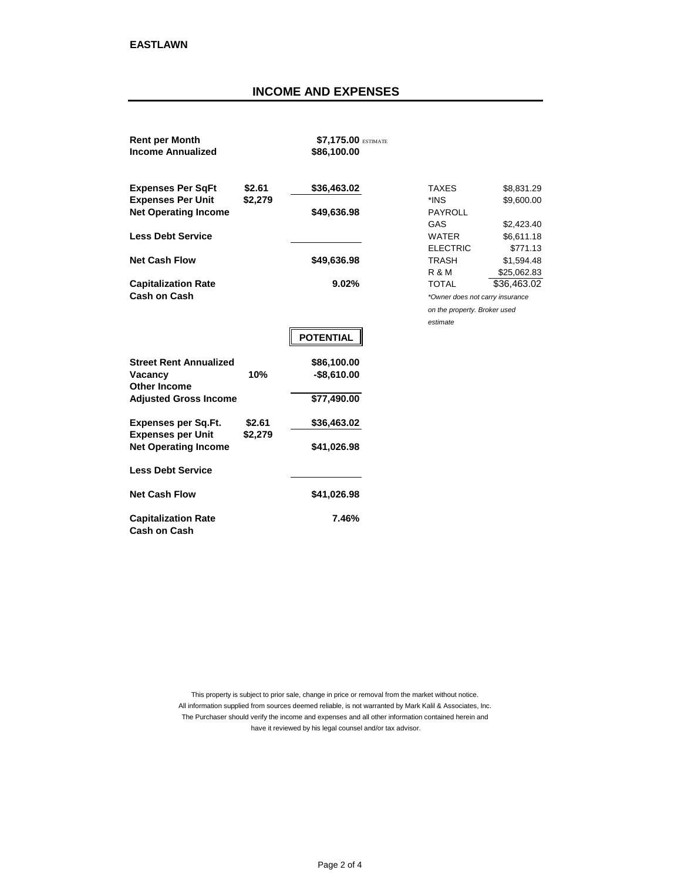## **INCOME AND EXPENSES**

| <b>Rent per Month</b><br><b>Income Annualized</b>    |                   | \$7,175.00 ESTIMATE<br>\$86,100.00 |                                 |                          |
|------------------------------------------------------|-------------------|------------------------------------|---------------------------------|--------------------------|
| <b>Expenses Per SqFt</b><br><b>Expenses Per Unit</b> | \$2.61<br>\$2,279 | \$36,463.02                        | TAXES<br>*INS                   | \$8,831.29<br>\$9,600.00 |
| <b>Net Operating Income</b>                          |                   | \$49,636.98                        | <b>PAYROLL</b>                  |                          |
|                                                      |                   |                                    | GAS                             | \$2,423.40               |
| <b>Less Debt Service</b>                             |                   |                                    | <b>WATER</b>                    | \$6,611.18               |
|                                                      |                   |                                    | <b>ELECTRIC</b>                 | \$771.13                 |
| <b>Net Cash Flow</b>                                 |                   | \$49,636.98                        | <b>TRASH</b>                    | \$1,594.48               |
|                                                      |                   |                                    | R & M                           | \$25,062.83              |
| <b>Capitalization Rate</b>                           |                   | 9.02%                              | <b>TOTAL</b>                    | \$36,463.02              |
| Cash on Cash                                         |                   |                                    | *Owner does not carry insurance |                          |
|                                                      |                   |                                    | on the property. Broker used    |                          |
|                                                      |                   |                                    | estimate                        |                          |
|                                                      |                   | <b>POTENTIAL</b>                   |                                 |                          |
| <b>Street Rent Annualized</b>                        |                   | \$86,100.00                        |                                 |                          |
| Vacancy                                              | 10%               | $-$8,610.00$                       |                                 |                          |
| Other Income                                         |                   |                                    |                                 |                          |
| <b>Adjusted Gross Income</b>                         |                   | \$77,490.00                        |                                 |                          |
| <b>Expenses per Sq.Ft.</b>                           | \$2.61            | \$36,463.02                        |                                 |                          |
| <b>Expenses per Unit</b>                             | \$2,279           |                                    |                                 |                          |
| <b>Net Operating Income</b>                          |                   | \$41,026.98                        |                                 |                          |
| <b>Less Debt Service</b>                             |                   |                                    |                                 |                          |
| <b>Net Cash Flow</b>                                 |                   | \$41,026.98                        |                                 |                          |
| <b>Capitalization Rate</b><br><b>Cash on Cash</b>    |                   | 7.46%                              |                                 |                          |

have it reviewed by his legal counsel and/or tax advisor. This property is subject to prior sale, change in price or removal from the market without notice. All information supplied from sources deemed reliable, is not warranted by Mark Kalil & Associates, Inc. The Purchaser should verify the income and expenses and all other information contained herein and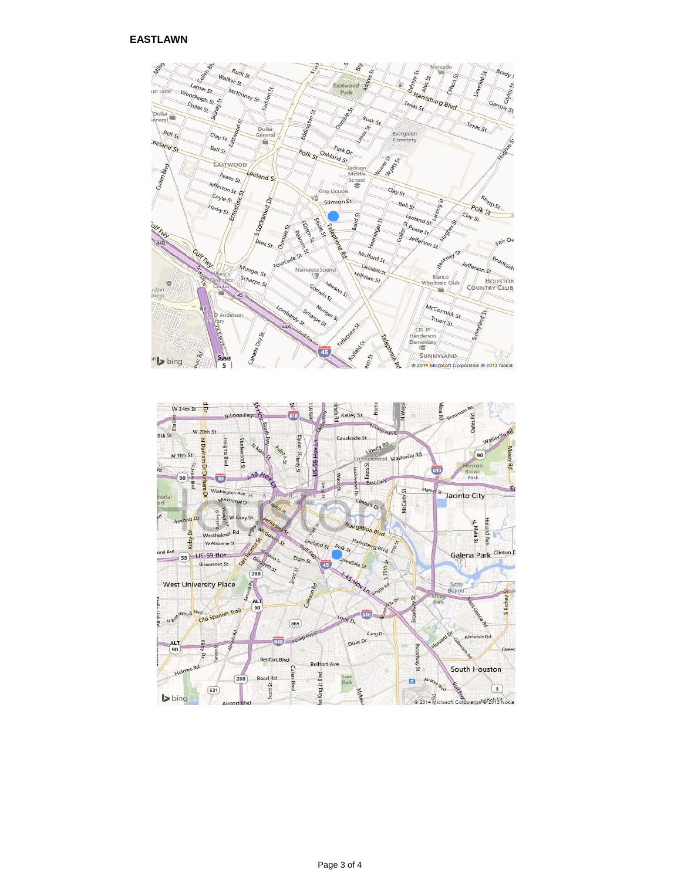